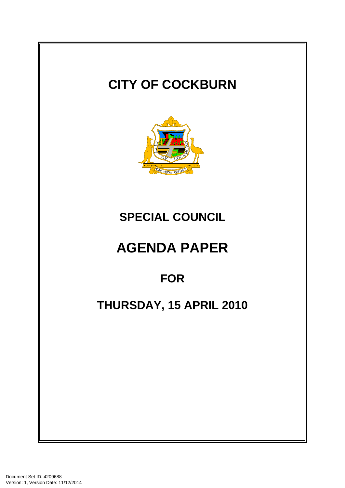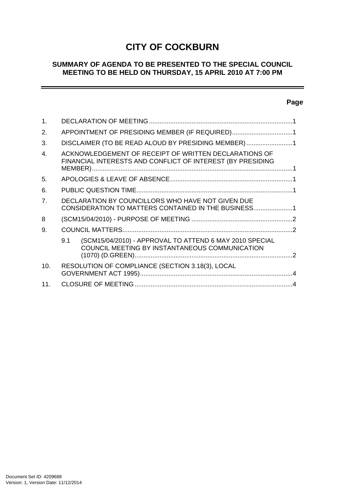# **CITY OF COCKBURN**

## **SUMMARY OF AGENDA TO BE PRESENTED TO THE SPECIAL COUNCIL MEETING TO BE HELD ON THURSDAY, 15 APRIL 2010 AT 7:00 PM**

# **Page**

÷

| $\mathbf 1$ .  |                                                                                                                     |  |
|----------------|---------------------------------------------------------------------------------------------------------------------|--|
| 2.             | APPOINTMENT OF PRESIDING MEMBER (IF REQUIRED)1                                                                      |  |
| 3.             | DISCLAIMER (TO BE READ ALOUD BY PRESIDING MEMBER)1                                                                  |  |
| $\mathbf{4}$ . | ACKNOWLEDGEMENT OF RECEIPT OF WRITTEN DECLARATIONS OF<br>FINANCIAL INTERESTS AND CONFLICT OF INTEREST (BY PRESIDING |  |
| 5.             |                                                                                                                     |  |
| 6.             |                                                                                                                     |  |
| 7 <sub>1</sub> | DECLARATION BY COUNCILLORS WHO HAVE NOT GIVEN DUE<br>CONSIDERATION TO MATTERS CONTAINED IN THE BUSINESS1            |  |
| 8              |                                                                                                                     |  |
| 9.             |                                                                                                                     |  |
|                | (SCM15/04/2010) - APPROVAL TO ATTEND 6 MAY 2010 SPECIAL<br>9.1<br>COUNCIL MEETING BY INSTANTANEOUS COMMUNICATION    |  |
| 10.            | RESOLUTION OF COMPLIANCE (SECTION 3.18(3), LOCAL                                                                    |  |
| 11.            |                                                                                                                     |  |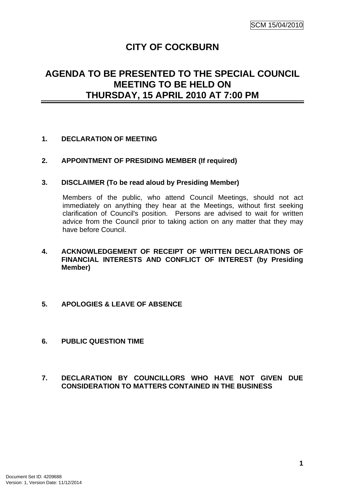# **CITY OF COCKBURN**

# <span id="page-2-0"></span>**AGENDA TO BE PRESENTED TO THE SPECIAL COUNCIL MEETING TO BE HELD ON THURSDAY, 15 APRIL 2010 AT 7:00 PM**

## **1. DECLARATION OF MEETING**

## **2. APPOINTMENT OF PRESIDING MEMBER (If required)**

#### **3. DISCLAIMER (To be read aloud by Presiding Member)**

Members of the public, who attend Council Meetings, should not act immediately on anything they hear at the Meetings, without first seeking clarification of Council's position. Persons are advised to wait for written advice from the Council prior to taking action on any matter that they may have before Council.

- **4. ACKNOWLEDGEMENT OF RECEIPT OF WRITTEN DECLARATIONS OF FINANCIAL INTERESTS AND CONFLICT OF INTEREST (by Presiding Member)**
- **5. APOLOGIES & LEAVE OF ABSENCE**
- **6. PUBLIC QUESTION TIME**

## **7. DECLARATION BY COUNCILLORS WHO HAVE NOT GIVEN DUE CONSIDERATION TO MATTERS CONTAINED IN THE BUSINESS**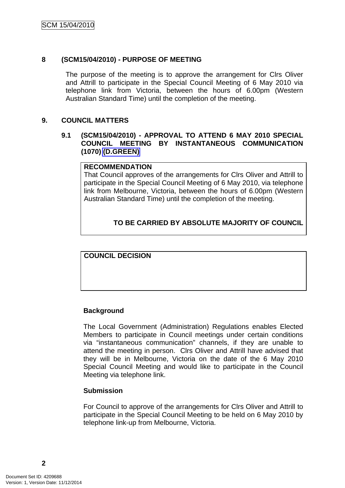## <span id="page-3-0"></span>**8 (SCM15/04/2010) - PURPOSE OF MEETING**

The purpose of the meeting is to approve the arrangement for Clrs Oliver and Attrill to participate in the Special Council Meeting of 6 May 2010 via telephone link from Victoria, between the hours of 6.00pm (Western Australian Standard Time) until the completion of the meeting.

#### **9. COUNCIL MATTERS**

## **9.1 (SCM15/04/2010) - APPROVAL TO ATTEND 6 MAY 2010 SPECIAL COUNCIL MEETING BY INSTANTANEOUS COMMUNICATION (1070) (D.GREEN)**

#### **RECOMMENDATION**

That Council approves of the arrangements for Clrs Oliver and Attrill to participate in the Special Council Meeting of 6 May 2010, via telephone link from Melbourne, Victoria, between the hours of 6.00pm (Western Australian Standard Time) until the completion of the meeting.

## **TO BE CARRIED BY ABSOLUTE MAJORITY OF COUNCIL**

**COUNCIL DECISION**

## **Background**

The Local Government (Administration) Regulations enables Elected Members to participate in Council meetings under certain conditions via "instantaneous communication" channels, if they are unable to attend the meeting in person. Clrs Oliver and Attrill have advised that they will be in Melbourne, Victoria on the date of the 6 May 2010 Special Council Meeting and would like to participate in the Council Meeting via telephone link.

#### **Submission**

For Council to approve of the arrangements for Clrs Oliver and Attrill to participate in the Special Council Meeting to be held on 6 May 2010 by telephone link-up from Melbourne, Victoria.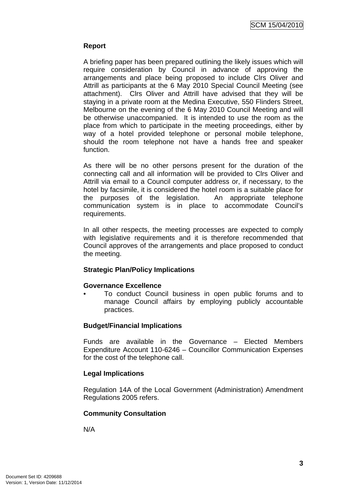## **Report**

A briefing paper has been prepared outlining the likely issues which will require consideration by Council in advance of approving the arrangements and place being proposed to include Clrs Oliver and Attrill as participants at the 6 May 2010 Special Council Meeting (see attachment). Clrs Oliver and Attrill have advised that they will be staying in a private room at the Medina Executive, 550 Flinders Street, Melbourne on the evening of the 6 May 2010 Council Meeting and will be otherwise unaccompanied. It is intended to use the room as the place from which to participate in the meeting proceedings, either by way of a hotel provided telephone or personal mobile telephone, should the room telephone not have a hands free and speaker function.

As there will be no other persons present for the duration of the connecting call and all information will be provided to Clrs Oliver and Attrill via email to a Council computer address or, if necessary, to the hotel by facsimile, it is considered the hotel room is a suitable place for the purposes of the legislation. An appropriate telephone communication system is in place to accommodate Council's requirements.

In all other respects, the meeting processes are expected to comply with legislative requirements and it is therefore recommended that Council approves of the arrangements and place proposed to conduct the meeting.

## **Strategic Plan/Policy Implications**

## **Governance Excellence**

• To conduct Council business in open public forums and to manage Council affairs by employing publicly accountable practices.

## **Budget/Financial Implications**

Funds are available in the Governance – Elected Members Expenditure Account 110-6246 – Councillor Communication Expenses for the cost of the telephone call.

## **Legal Implications**

Regulation 14A of the Local Government (Administration) Amendment Regulations 2005 refers.

## **Community Consultation**

N/A